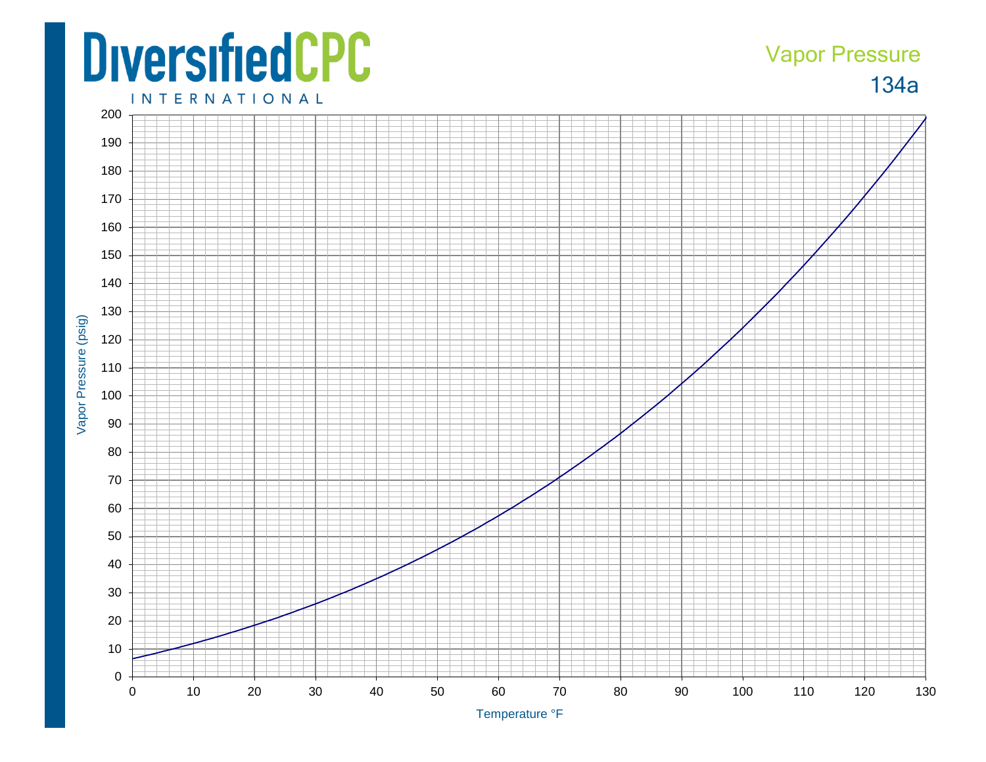## **DiversifiedCPC**

## 134a Vapor Pressure

**INTERNATIONAL** 



Temperature ° F